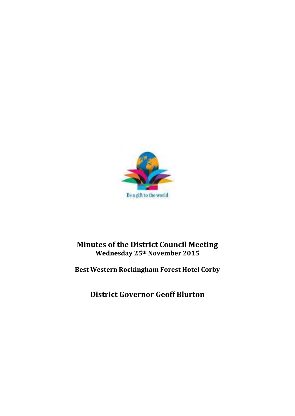

# **Minutes of the District Council Meeting Wednesday 25th November 2015**

# **Best Western Rockingham Forest Hotel Corby**

**District Governor Geoff Blurton**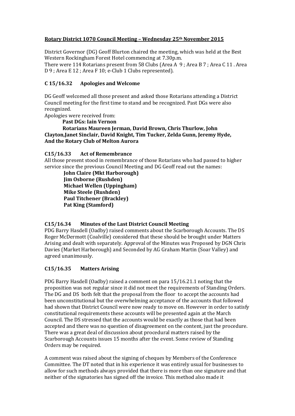## **Rotary District 1070 Council Meeting – Wednesday 25th November 2015**

District Governor (DG) Geoff Blurton chaired the meeting, which was held at the Best Western Rockingham Forest Hotel commencing at 7.30p.m. There were 114 Rotarians present from 58 Clubs (Area A 9 ; Area B 7 ; Area C 11 . Area

D 9 ; Area E 12 ; Area F 10; e-Club 1 Clubs represented).

## **C 15/16.32 Apologies and Welcome**

DG Geoff welcomed all those present and asked those Rotarians attending a District Council meeting for the first time to stand and be recognized. Past DGs were also recognized.

Apologies were received from:

**Past DGs: Iain Vernon Rotarians Maureen Jerman, David Brown, Chris Thurlow, John Clayton,Janet Sinclair, David Knight, Tim Tucker, Zelda Gunn, Jeremy Hyde, And the Rotary Club of Melton Aurora**

**C15/16.33 Act of Remembrance**

All those present stood in remembrance of those Rotarians who had passed to higher service since the previous Council Meeting and DG Geoff read out the names:

 **John Claire (Mkt Harborough) Jim Osborne (Rushden) Michael Wellen (Uppingham) Mike Steele (Rushden) Paul Titchener (Brackley) Pat King (Stamford)** 

# **C15/16.34 Minutes of the Last District Council Meeting**

PDG Barry Hasdell (Oadby) raised comments about the Scarborough Accounts. The DS Roger McDermott (Coalville) considered that these should be brought under Matters Arising and dealt with separately. Approval of the Minutes was Proposed by DGN Chris Davies (Market Harborough) and Seconded by AG Graham Martin (Soar Valley) and agreed unanimously.

# **C15/16.35 Matters Arising**

PDG Barry Hasdell (Oadby) raised a comment on para 15/16.21.1 noting that the proposition was not regular since it did not meet the requirements of Standing Orders. The DG and DS both felt that the proposal from the floor to accept the accounts had been unconstitutional but the overwhelming acceptance of the accounts that followed had shown that District Council were now ready to move on. However in order to satisfy constitutional requirements these accounts will be presented again at the March Council. The DS stressed that the accounts would be exactly as those that had been accepted and there was no question of disagreement on the content, just the procedure. There was a great deal of discussion about procedural matters raised by the Scarborough Accounts issues 15 months after the event. Some review of Standing Orders may be required.

A comment was raised about the signing of cheques by Members of the Conference Committee. The DT noted that in his experience it was entirely usual for businesses to allow for such methods always provided that there is more than one signature and that neither of the signatories has signed off the invoice. This method also made it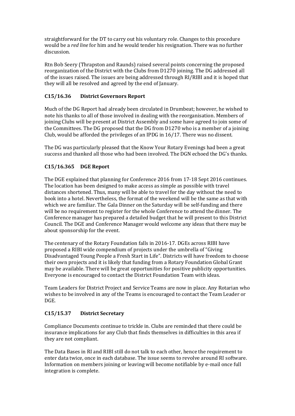straightforward for the DT to carry out his voluntary role. Changes to this procedure would be a *red line* for him and he would tender his resignation. There was no further discussion.

Rtn Bob Seery (Thrapston and Raunds) raised several points concerning the proposed reorganization of the District with the Clubs from D1270 joining. The DG addressed all of the issues raised. The issues are being addressed through RI/RIBI and it is hoped that they will all be resolved and agreed by the end of January.

## **C15/16.36 District Governors Report**

Much of the DG Report had already been circulated in Drumbeat; however, he wished to note his thanks to all of those involved in dealing with the reorganisation. Members of joining Clubs will be present at District Assembly and some have agreed to join some of the Committees. The DG proposed that the DG from D1270 who is a member of a joining Club, would be afforded the privileges of an IPDG in 16/17. There was no dissent.

The DG was particularly pleased that the Know Your Rotary Evenings had been a great success and thanked all those who had been involved. The DGN echoed the DG's thanks.

## **C15/16.365 DGE Report**

The DGE explained that planning for Conference 2016 from 17-18 Sept 2016 continues. The location has been designed to make access as simple as possible with travel distances shortened. Thus, many will be able to travel for the day without the need to book into a hotel. Nevertheless, the format of the weekend will be the same as that with which we are familiar. The Gala Dinner on the Saturday will be self-funding and there will be no requirement to register for the whole Conference to attend the dinner. The Conference manager has prepared a detailed budget that he will present to this District Council. The DGE and Conference Manager would welcome any ideas that there may be about sponsorship for the event.

The centenary of the Rotary Foundation falls in 2016-17. DGEs across RIBI have proposed a RIBI wide compendium of projects under the umbrella of "Giving Disadvantaged Young People a Fresh Start in Life". Districts will have freedom to choose their own projects and it is likely that funding from a Rotary Foundation Global Grant may be available. There will be great opportunities for positive publicity opportunities. Everyone is encouraged to contact the District Foundation Team with ideas.

Team Leaders for District Project and Service Teams are now in place. Any Rotarian who wishes to be involved in any of the Teams is encouraged to contact the Team Leader or DGE.

## **C15/15.37 District Secretary**

Compliance Documents continue to trickle in. Clubs are reminded that there could be insurance implications for any Club that finds themselves in difficulties in this area if they are not compliant.

The Data Bases in RI and RIBI still do not talk to each other, hence the requirement to enter data twice, once in each database. The issue seems to revolve around RI software. Information on members joining or leaving will become notifiable by e-mail once full integration is complete.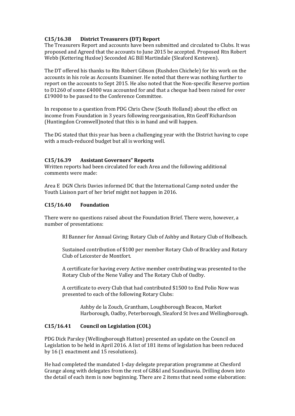## **C15/16.38 District Treasurers (DT) Report**

The Treasurers Report and accounts have been submitted and circulated to Clubs. It was proposed and Agreed that the accounts to June 2015 be accepted. Proposed Rtn Robert Webb (Kettering Huxloe) Seconded AG Bill Martindale (Sleaford Kesteven).

The DT offered his thanks to Rtn Robert Gibson (Rushden Chichele) for his work on the accounts in his role as Accounts Examiner. He noted that there was nothing further to report on the accounts to Sept 2015. He also noted that the Non-specific Reserve portion to D1260 of some £4000 was accounted for and that a cheque had been raised for over £19000 to be passed to the Conference Committee.

In response to a question from PDG Chris Chew (South Holland) about the effect on income from Foundation in 3 years following reorganisation, Rtn Geoff Richardson (Huntingdon Cromwell)noted that this is in hand and will happen.

The DG stated that this year has been a challenging year with the District having to cope with a much-reduced budget but all is working well.

## **C15/16.39 Assistant Governors" Reports**

Written reports had been circulated for each Area and the following additional comments were made:

Area E DGN Chris Davies informed DC that the International Camp noted under the Youth Liaison part of her brief might not happen in 2016.

## **C15/16.40 Foundation**

There were no questions raised about the Foundation Brief. There were, however, a number of presentations:

RI Banner for Annual Giving; Rotary Club of Ashby and Rotary Club of Holbeach.

Sustained contribution of \$100 per member Rotary Club of Brackley and Rotary Club of Leicester de Montfort.

A certificate for having every Active member contributing was presented to the Rotary Club of the Nene Valley and The Rotary Club of Oadby.

A certificate to every Club that had contributed \$1500 to End Polio Now was presented to each of the following Rotary Clubs:

Ashby de la Zouch, Grantham, Loughborough Beacon, Market Harborough, Oadby, Peterborough, Sleaford St Ives and Wellingborough.

## **C15/16.41 Council on Legislation (COL)**

PDG Dick Parsley (Wellingborough Hatton) presented an update on the Council on Legislation to be held in April 2016. A list of 181 items of legislation has been reduced by 16 (1 enactment and 15 resolutions).

He had completed the mandated 1-day delegate preparation programme at Chesford Grange along with delegates from the rest of GB&I and Scandinavia. Drilling down into the detail of each item is now beginning. There are 2 items that need some elaboration: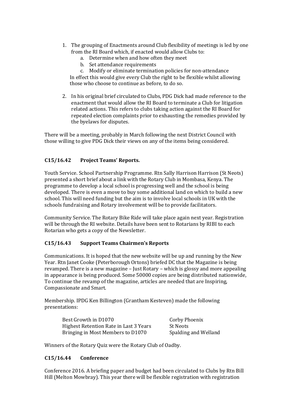- 1. The grouping of Enactments around Club flexibility of meetings is led by one from the RI Board which, if enacted would allow Clubs to:
	- a. Determine when and how often they meet
	- b. Set attendance requirements

c. Modify or eliminate termination policies for non-attendance In effect this would give every Club the right to be flexible whilst allowing those who choose to continue as before, to do so.

2. In his original brief circulated to Clubs, PDG Dick had made reference to the enactment that would allow the RI Board to terminate a Club for litigation related actions. This refers to clubs taking action against the RI Board for repeated election complaints prior to exhausting the remedies provided by the byelaws for disputes.

There will be a meeting, probably in March following the next District Council with those willing to give PDG Dick their views on any of the items being considered.

## **C15/16.42 Project Teams' Reports.**

Youth Service. School Partnership Programme. Rtn Sally Harrison Harrison (St Neots) presented a short brief about a link with the Rotary Club in Mombasa, Kenya. The programme to develop a local school is progressing well and the school is being developed. There is even a move to buy some additional land on which to build a new school. This will need funding but the aim is to involve local schools in UK with the schools fundraising and Rotary involvement will be to provide facilitators.

Community Service. The Rotary Bike Ride will take place again next year. Registration will be through the RI website. Details have been sent to Rotarians by RIBI to each Rotarian who gets a copy of the Newsletter.

## **C15/16.43 Support Teams Chairmen's Reports**

Communications. It is hoped that the new website will be up and running by the New Year. Rtn Janet Cooke (Peterborough Ortons) briefed DC that the Magazine is being revamped. There is a new magazine – Just Rotary – which is glossy and more appealing in appearance is being produced. Some 50000 copies are being distributed nationwide, To continue the revamp of the magazine, articles are needed that are Inspiring, Compassionate and Smart.

Membership. IPDG Ken Billington (Grantham Kesteven) made the following presentations:

| Best Growth in D1070                   | Corby Phoenix        |
|----------------------------------------|----------------------|
| Highest Retention Rate in Last 3 Years | -St Neots            |
| Bringing in Most Members to D1070      | Spalding and Welland |

Winners of the Rotary Quiz were the Rotary Club of Oadby.

## **C15/16.44 Conference**

Conference 2016. A briefing paper and budget had been circulated to Clubs by Rtn Bill Hill (Melton Mowbray). This year there will be flexible registration with registration